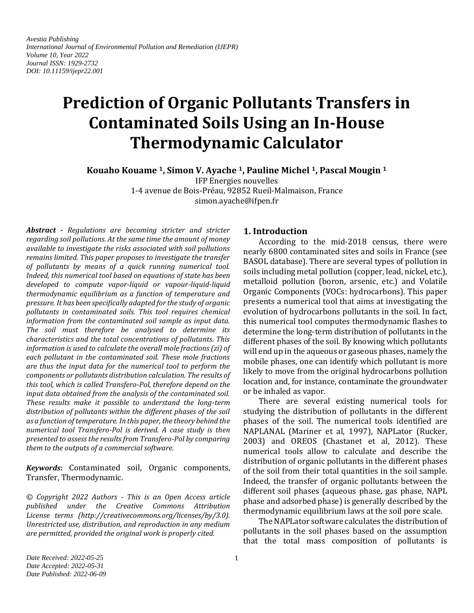*Avestia Publishing International Journal of Environmental Pollution and Remediation (IJEPR) Volume 10, Year 2022 Journal ISSN: 1929-2732 DOI: 10.11159/ijepr22.001*

# **Prediction of Organic Pollutants Transfers in Contaminated Soils Using an In-House Thermodynamic Calculator**

**Kouaho Kouame 1, Simon V. Ayache <sup>1</sup>, Pauline Michel <sup>1</sup>, Pascal Mougin <sup>1</sup>**

IFP Energies nouvelles

1-4 avenue de Bois-Préau, 92852 Rueil-Malmaison, France simon.ayache@ifpen.fr

*Abstract - Regulations are becoming stricter and stricter regarding soil pollutions. At the same time the amount of money available to investigate the risks associated with soil pollutions remains limited. This paper proposes to investigate the transfer of pollutants by means of a quick running numerical tool. Indeed, this numerical tool based on equations of state has been developed to compute vapor-liquid or vapour-liquid-liquid thermodynamic equilibrium as a function of temperature and pressure. It has been specifically adapted for the study of organic pollutants in contaminated soils. This tool requires chemical information from the contaminated soil sample as input data. The soil must therefore be analysed to determine its characteristics and the total concentrations of pollutants. This information is used to calculate the overall mole fractions (zi) of each pollutant in the contaminated soil. These mole fractions are thus the input data for the numerical tool to perform the components or pollutants distribution calculation. The results of this tool, which is called Transfero-Pol, therefore depend on the input data obtained from the analysis of the contaminated soil. These results make it possible to understand the long-term distribution of pollutants within the different phases of the soil as a function of temperature. In this paper, the theory behind the numerical tool Transfero-Pol is derived. A case study is then presented to assess the results from Transfero-Pol by comparing them to the outputs of a commercial software.*

*Keywords***:** Contaminated soil, Organic components, Transfer, Thermodynamic.

*© Copyright 2022 Authors - This is an Open Access article published under the Creative Commons Attribution License terms (http://creativecommons.org/licenses/by/3.0). Unrestricted use, distribution, and reproduction in any medium are permitted, provided the original work is properly cited.*

# **1. Introduction**

According to the mid-2018 census, there were nearly 6800 contaminated sites and soils in France (see BASOL database). There are several types of pollution in soils including metal pollution (copper, lead, nickel, etc.), metalloid pollution (boron, arsenic, etc.) and Volatile Organic Components (VOCs: hydrocarbons). This paper presents a numerical tool that aims at investigating the evolution of hydrocarbons pollutants in the soil. In fact, this numerical tool computes thermodynamic flashes to determine the long-term distribution of pollutants in the different phases of the soil. By knowing which pollutants will end up in the aqueous or gaseous phases, namely the mobile phases, one can identify which pollutant is more likely to move from the original hydrocarbons pollution location and, for instance, contaminate the groundwater or be inhaled as vapor.

There are several existing numerical tools for studying the distribution of pollutants in the different phases of the soil. The numerical tools identified are NAPLANAL (Mariner et al, 1997), NAPLator (Rucker, 2003) and OREOS (Chastanet et al, 2012). These numerical tools allow to calculate and describe the distribution of organic pollutants in the different phases of the soil from their total quantities in the soil sample. Indeed, the transfer of organic pollutants between the different soil phases (aqueous phase, gas phase, NAPL phase and adsorbed phase) is generally described by the thermodynamic equilibrium laws at the soil pore scale.

The NAPLator software calculates the distribution of pollutants in the soil phases based on the assumption that the total mass composition of pollutants is

*Date Received: 2022-05-25 Date Accepted: 2022-05-31 Date Published: 2022-06-09*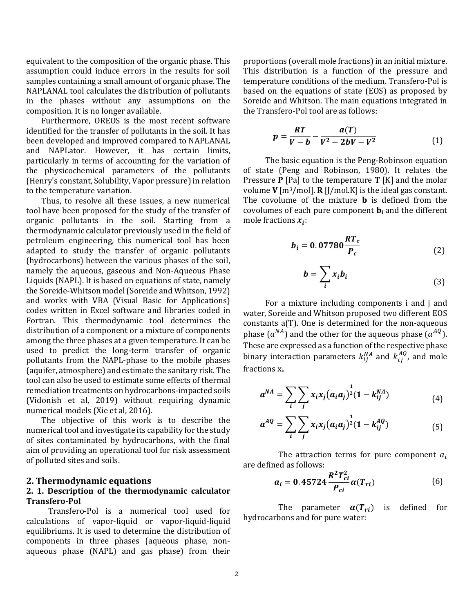equivalent to the composition of the organic phase. This assumption could induce errors in the results for soil samples containing a small amount of organic phase. The NAPLANAL tool calculates the distribution of pollutants in the phases without any assumptions on the composition. It is no longer available.

Furthermore, OREOS is the most recent software identified for the transfer of pollutants in the soil. It has been developed and improved compared to NAPLANAL and NAPLator. However, it has certain limits, particularly in terms of accounting for the variation of the physicochemical parameters of the pollutants (Henry's constant, Solubility, Vapor pressure) in relation to the temperature variation.

Thus, to resolve all these issues, a new numerical tool have been proposed for the study of the transfer of organic pollutants in the soil. Starting from a thermodynamic calculator previously used in the field of petroleum engineering, this numerical tool has been adapted to study the transfer of organic pollutants (hydrocarbons) between the various phases of the soil, namely the aqueous, gaseous and Non-Aqueous Phase Liquids (NAPL). It is based on equations of state, namely the Soreide-Whitson model(Soreide and Whitson, 1992) and works with VBA (Visual Basic for Applications) codes written in Excel software and libraries coded in Fortran. This thermodynamic tool determines the distribution of a component or a mixture of components among the three phases at a given temperature. It can be used to predict the long-term transfer of organic pollutants from the NAPL-phase to the mobile phases (aquifer, atmosphere) and estimate the sanitary risk. The tool can also be used to estimate some effects of thermal remediation treatments on hydrocarbons-impacted soils (Vidonish et al, 2019) without requiring dynamic numerical models (Xie et al, 2016).

The objective of this work is to describe the numerical tool and investigate its capability for the study of sites contaminated by hydrocarbons, with the final aim of providing an operational tool for risk assessment of polluted sites and soils.

# **2. Thermodynamic equations**

# **2. 1. Description of the thermodynamic calculator Transfero-Pol**

Transfero-Pol is a numerical tool used for calculations of vapor-liquid or vapor-liquid-liquid equilibriums. It is used to determine the distribution of components in three phases (aqueous phase, nonaqueous phase (NAPL) and gas phase) from their

proportions (overall mole fractions) in an initial mixture. This distribution is a function of the pressure and temperature conditions of the medium. Transfero-Pol is based on the equations of state (EOS) as proposed by Soreide and Whitson. The main equations integrated in the Transfero-Pol tool are as follows:

$$
p = \frac{RT}{V - b} - \frac{a(T)}{V^2 - 2bV - V^2}
$$
 (1)

The basic equation is the Peng-Robinson equation of state (Peng and Robinson, 1980). It relates the Pressure **P** [Pa] to the temperature **T** [K] and the molar volume **V** [m3/mol]. **R** [J/mol.K] is the ideal gas constant. The covolume of the mixture **b** is defined from the covolumes of each pure component **b<sup>i</sup>** and the different mole fractions  $x_i$ :

$$
b_i = 0.07780 \frac{RT_c}{P_c} \tag{2}
$$

$$
b = \sum_{i} x_i b_i \tag{3}
$$

For a mixture including components i and j and water, Soreide and Whitson proposed two different EOS constants a(T). One is determined for the non-aqueous phase  $(a^{NA})$  and the other for the aqueous phase  $(a^{AQ})$ . These are expressed as a function of the respective phase binary interaction parameters  $k_{ij}^{NA}$  and  $k_{ij}^{AQ}$ , and mole fractions xi.

$$
a^{NA} = \sum_{i} \sum_{j} x_i x_j (a_i a_j)^{\frac{1}{2}} (1 - k_{ij}^{NA})
$$
 (4)

$$
a^{AQ} = \sum_{i} \sum_{j} x_{i} x_{j} (a_{i} a_{j})^{\frac{1}{2}} (1 - k_{ij}^{AQ})
$$
(5)

The attraction terms for pure component  $a_i$ are defined as follows:

$$
a_i = 0.45724 \frac{R^2 T_{ci}^2}{P_{ci}} \alpha(T_{ri})
$$
 (6)

The parameter  $\alpha(T_{ri})$  is defined for hydrocarbons and for pure water: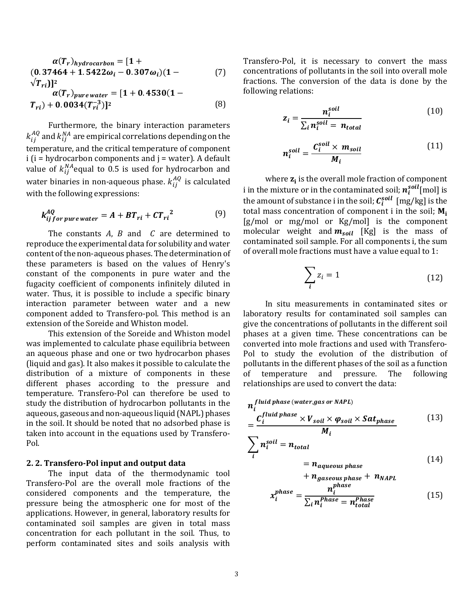$$
\alpha(T_r)_{hydrocarbon} = [1 +(0.37464 + 1.5422\omega_i - 0.307\omega_i)(1 -\sqrt{T_{ri}})]^2
$$

$$
\alpha(T_r)_{pure\,water} = [1 + 0.4530(1 -T_{ri}) + 0.0034(T_{ri}^{-3})]^2
$$
(8)

Furthermore, the binary interaction parameters  $k^{AQ}_{ij}$  and  $k^{NA}_{ij}$  are empirical correlations depending on the temperature, and the critical temperature of component  $i$  ( $i$  = hydrocarbon components and  $j$  = water). A default value of  $k_{ij}^{NA}$ equal to 0.5 is used for hydrocarbon and water binaries in non-aqueous phase.  $k_{ij}^{AQ}$  is calculated with the following expressions:

$$
k_{ij\,for\,pure\,water}^{AQ} = A + BT_{ri} + CT_{ri}^{2}
$$
 (9)

The constants  $A$ ,  $B$  and  $C$  are determined to reproduce the experimental data for solubility and water content of the non-aqueous phases. The determination of these parameters is based on the values of Henry's constant of the components in pure water and the fugacity coefficient of components infinitely diluted in water. Thus, it is possible to include a specific binary interaction parameter between water and a new component added to Transfero-pol. This method is an extension of the Soreide and Whiston model.

This extension of the Soreide and Whiston model was implemented to calculate phase equilibria between an aqueous phase and one or two hydrocarbon phases (liquid and gas). It also makes it possible to calculate the distribution of a mixture of components in these different phases according to the pressure and temperature. Transfero-Pol can therefore be used to study the distribution of hydrocarbon pollutants in the aqueous, gaseous and non-aqueous liquid (NAPL) phases in the soil. It should be noted that no adsorbed phase is taken into account in the equations used by Transfero-Pol.

### **2. 2. Transfero-Pol input and output data**

The input data of the thermodynamic tool Transfero-Pol are the overall mole fractions of the considered components and the temperature, the pressure being the atmospheric one for most of the applications. However, in general, laboratory results for contaminated soil samples are given in total mass concentration for each pollutant in the soil. Thus, to perform contaminated sites and soils analysis with

Transfero-Pol, it is necessary to convert the mass concentrations of pollutants in the soil into overall mole fractions. The conversion of the data is done by the following relations:

$$
z_i = \frac{n_i^{soil}}{\sum_i n_i^{soil} = n_{total}}
$$
(10)

$$
n_i^{soil} = \frac{C_i^{soil} \times m_{soil}}{M_i} \tag{11}
$$

where  $z_i$  is the overall mole fraction of component i in the mixture or in the contaminated soil;  $\boldsymbol{n}^{sol}_{i}$  [mol] is the amount of substance i in the soil;  ${\cal C}_i^{soll}\; [\mathrm{mg/kg}]$  is the total mass concentration of component i in the soil;  $M_i$ [g/mol or mg/mol or Kg/mol] is the component molecular weight and  $m_{soil}$  [Kg] is the mass of contaminated soil sample. For all components i, the sum of overall mole fractions must have a value equal to 1:

$$
\sum_{i} z_i = 1 \tag{12}
$$

In situ measurements in contaminated sites or laboratory results for contaminated soil samples can give the concentrations of pollutants in the different soil phases at a given time. These concentrations can be converted into mole fractions and used with Transfero-Pol to study the evolution of the distribution of pollutants in the different phases of the soil as a function of temperature and pressure. The following relationships are used to convert the data:

$$
n_i^{fluid phase (water, gas or NAPL)}
$$
  
= 
$$
\frac{C_i^{fluid phase} \times V_{soil} \times \varphi_{soil} \times Sat_{phase}}{M_i}
$$
 (13)

$$
\sum_{i} n_i^{solid} = n_{total}
$$
  
=  $n_{aqueous phase}$  (14)

$$
+ n_{gaseous phase} + n_{NAPL}
$$
  
 $_{n}^{phase}$ 

$$
x_i^{phase} = \frac{n_i^{phase}}{\sum_i n_i^{Phase} = n_{total}^{Phase}}
$$
(15)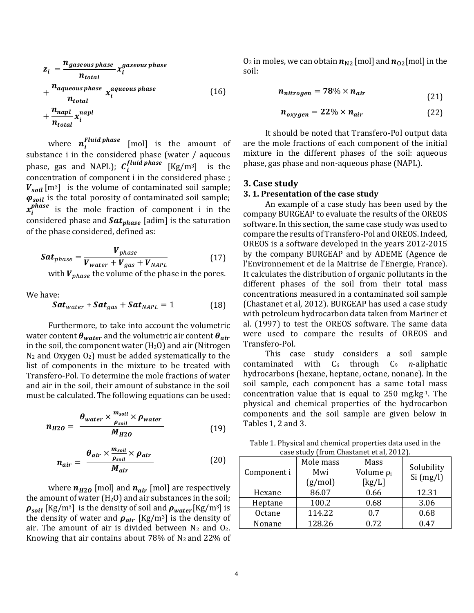$$
z_{i} = \frac{n_{gaseous phase}}{n_{total}} x_{i}^{gaseous phase}
$$
  
+ 
$$
\frac{n_{aqueous phase}}{n_{total}} x_{i}^{aqueous phase}
$$
  
+ 
$$
\frac{n_{napl}}{n_{total}} x_{i}^{napl}
$$
 (16)

where  $n_i^{Fluid\,phase}$  [mol] is the amount of substance i in the considered phase (water / aqueous phase, gas and NAPL);  $C_i^{fluid\,phase}$  [Kg/m<sup>3</sup>] is the concentration of component i in the considered phase ;  $V_{soil}$  [m<sup>3</sup>] is the volume of contaminated soil sample;  $\varphi_{soil}$  is the total porosity of contaminated soil sample;  $x_i^{phase}$  is the mole fraction of component i in the considered phase and  $Sat_{phase}$  [adim] is the saturation of the phase considered, defined as:

$$
Sat_{phase} = \frac{V_{phase}}{V_{water} + V_{gas} + V_{NAPL}}
$$
(17)

with  $V_{phase}$  the volume of the phase in the pores.

We have:

$$
\mathbf{Sat}_{water} + \mathbf{Sat}_{gas} + \mathbf{Sat}_{NAPL} = 1 \tag{18}
$$

Furthermore, to take into account the volumetric water content  $\theta_{water}$  and the volumetric air content  $\theta_{air}$ in the soil, the component water  $(H<sub>2</sub>O)$  and air (Nitrogen  $N_2$  and Oxygen  $O_2$ ) must be added systematically to the list of components in the mixture to be treated with Transfero-Pol. To determine the mole fractions of water and air in the soil, their amount of substance in the soil must be calculated. The following equations can be used:

$$
n_{H2O} = \frac{\theta_{water} \times \frac{m_{solid}}{\rho_{solid}} \times \rho_{water}}{M_{H2O}} \tag{19}
$$

$$
n_{air} = \frac{\theta_{air} \times \frac{m_{soil}}{\rho_{soil}} \times \rho_{air}}{M_{air}}
$$
 (20)

where  $n_{H20}$  [mol] and  $n_{air}$  [mol] are respectively the amount of water  $(H<sub>2</sub>O)$  and air substances in the soil;  $\rho_{soil}$  [Kg/m<sup>3</sup>] is the density of soil and  $\rho_{water}$ [Kg/m<sup>3</sup>] is the density of water and  $\rho_{air}$  [Kg/m<sup>3</sup>] is the density of air. The amount of air is divided between  $N_2$  and  $O_2$ . Knowing that air contains about 78% of  $N_2$  and 22% of

 $0_2$  in moles, we can obtain  $n_{N2}$  [mol] and  $n_{02}$ [mol] in the soil:

$$
n_{nitrogen} = 78\% \times n_{air} \tag{21}
$$

$$
n_{oxygen} = 22\% \times n_{air} \tag{22}
$$

It should be noted that Transfero-Pol output data are the mole fractions of each component of the initial mixture in the different phases of the soil: aqueous phase, gas phase and non-aqueous phase (NAPL).

## **3. Case study**

## **3. 1. Presentation of the case study**

An example of a case study has been used by the company BURGEAP to evaluate the results of the OREOS software. In this section, the same case study was used to compare the results of Transfero-Pol and OREOS. Indeed, OREOS is a software developed in the years 2012-2015 by the company BURGEAP and by ADEME (Agence de l'Environnement et de la Maitrise de l'Energie, France). It calculates the distribution of organic pollutants in the different phases of the soil from their total mass concentrations measured in a contaminated soil sample (Chastanet et al, 2012). BURGEAP has used a case study with petroleum hydrocarbon data taken from Mariner et al. (1997) to test the OREOS software. The same data were used to compare the results of OREOS and Transfero-Pol.

This case study considers a soil sample contaminated with  $C_6$  through  $C_9$  *n*-aliphatic hydrocarbons (hexane, heptane, octane, nonane). In the soil sample, each component has a same total mass concentration value that is equal to 250 mg.kg-1. The physical and chemical properties of the hydrocarbon components and the soil sample are given below in Tables 1, 2 and 3.

Table 1. Physical and chemical properties data used in the case study (from Chastanet et al, 2012).

| Component i | Mole mass<br>Mwi<br>(g/mol) | Mass<br>Volume $\rho_i$<br>[kg/L] | Solubility<br>Si(mg/l) |
|-------------|-----------------------------|-----------------------------------|------------------------|
| Hexane      | 86.07                       | 0.66                              | 12.31                  |
| Heptane     | 100.2                       | 0.68                              | 3.06                   |
| Octane      | 114.22                      | 0.7                               | 0.68                   |
| Nonane      | 128.26                      | 0.72                              | 047                    |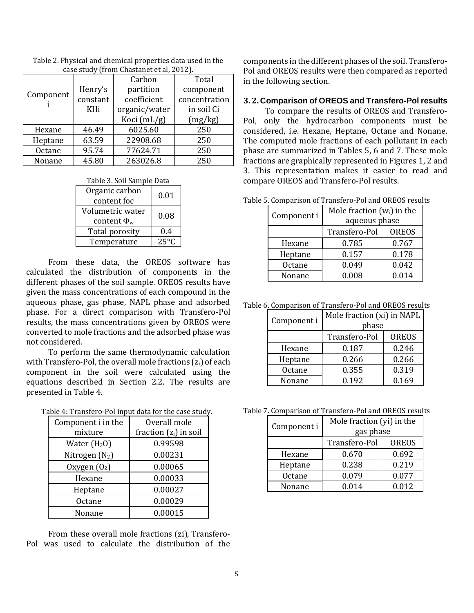|               | $\alpha$ 30 stuur (11 om Gnastanet et al, 2012). |               |               |
|---------------|--------------------------------------------------|---------------|---------------|
|               |                                                  | Carbon        | Total         |
| Component     | Henry's                                          | partition     | component     |
|               | constant                                         | coefficient   | concentration |
|               | KHi                                              | organic/water | in soil Ci    |
|               |                                                  | Koci (mL/g)   | (mg/kg)       |
| Hexane        | 46.49                                            | 6025.60       | 250           |
| Heptane       | 63.59                                            | 22908.68      | 250           |
| <b>Octane</b> | 95.74                                            | 77624.71      | 250           |
| Nonane        | 45.80                                            | 263026.8      | 250           |

Table 2. Physical and chemical properties data used in the case study (from Chastanet et al, 2012).

Table 3. Soil Sample Data

| Organic carbon<br>content foc          | 0.01 |
|----------------------------------------|------|
| Volumetric water<br>content $\Phi_{w}$ | 0.08 |
| Total porosity                         | 0.4  |
| Temperature                            | 25°C |

From these data, the OREOS software has calculated the distribution of components in the different phases of the soil sample. OREOS results have given the mass concentrations of each compound in the aqueous phase, gas phase, NAPL phase and adsorbed phase. For a direct comparison with Transfero-Pol results, the mass concentrations given by OREOS were converted to mole fractions and the adsorbed phase was not considered.

To perform the same thermodynamic calculation with Transfero-Pol, the overall mole fractions  $(z<sub>i</sub>)$  of each component in the soil were calculated using the equations described in Section 2.2. The results are presented in Table 4.

Table 4: Transfero-Pol input data for the case study.

| able 4. Transiero-Formput data for the case study |                          |  |
|---------------------------------------------------|--------------------------|--|
| Component i in the                                | Overall mole             |  |
| mixture                                           | fraction $(z_i)$ in soil |  |
| Water $(H20)$                                     | 0.99598                  |  |
| Nitrogen $(N_2)$                                  | 0.00231                  |  |
| Oxygen $(02)$                                     | 0.00065                  |  |
| Hexane                                            | 0.00033                  |  |
| Heptane                                           | 0.00027                  |  |
| Octane                                            | 0.00029                  |  |
| Nonane                                            | 0.00015                  |  |

From these overall mole fractions (zi), Transfero-Pol was used to calculate the distribution of the components in the different phases of the soil. Transfero-Pol and OREOS results were then compared as reported in the following section.

#### **3. 2. Comparison of OREOS and Transfero-Pol results**

To compare the results of OREOS and Transfero-Pol, only the hydrocarbon components must be considered, i.e. Hexane, Heptane, Octane and Nonane. The computed mole fractions of each pollutant in each phase are summarized in Tables 5, 6 and 7. These mole fractions are graphically represented in Figures 1, 2 and 3. This representation makes it easier to read and compare OREOS and Transfero-Pol results.

Table 5. Comparison of Transfero-Pol and OREOS results

| Component i | Mole fraction $(w_i)$ in the |              |
|-------------|------------------------------|--------------|
|             | aqueous phase                |              |
|             | Transfero-Pol                | <b>OREOS</b> |
| Hexane      | 0.785                        | 0.767        |
| Heptane     | 0.157                        | 0.178        |
| Octane      | 0.049                        | 0.042        |
| Nonane      | 0.008                        | 0.014        |

Table 6. Comparison of Transfero-Pol and OREOS results

| Component i | Mole fraction (xi) in NAPL<br>phase |              |
|-------------|-------------------------------------|--------------|
|             | Transfero-Pol                       | <b>OREOS</b> |
| Hexane      | 0.187                               | 0.246        |
| Heptane     | 0.266                               | 0.266        |
| Octane      | 0.355                               | 0.319        |
| Nonane      | 0.192                               | 0.169        |

Table 7. Comparison of Transfero-Pol and OREOS results

|  | 7. Comparison of Transfero-Pol and OREOS result |                           |              |  |
|--|-------------------------------------------------|---------------------------|--------------|--|
|  | Component i                                     | Mole fraction (yi) in the |              |  |
|  |                                                 | gas phase                 |              |  |
|  |                                                 | Transfero-Pol             | <b>OREOS</b> |  |
|  | Hexane                                          | 0.670                     | 0.692        |  |
|  | Heptane                                         | 0.238                     | 0.219        |  |
|  | Octane                                          | 0.079                     | 0.077        |  |
|  | Nonane                                          | 0.014                     | 0.012        |  |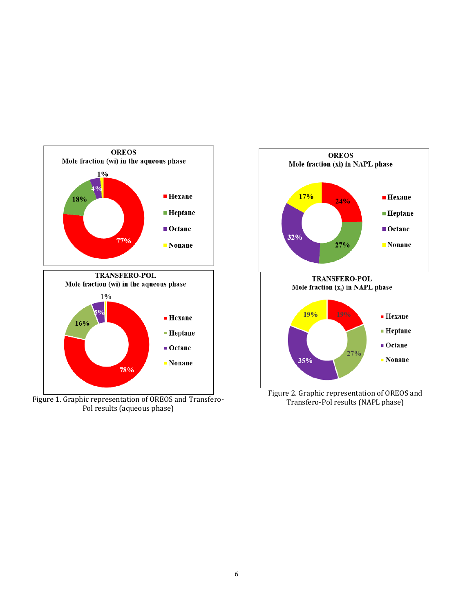

Figure 1. Graphic representation of OREOS and Transfero-Pol results (aqueous phase)



Transfero-Pol results (NAPL phase)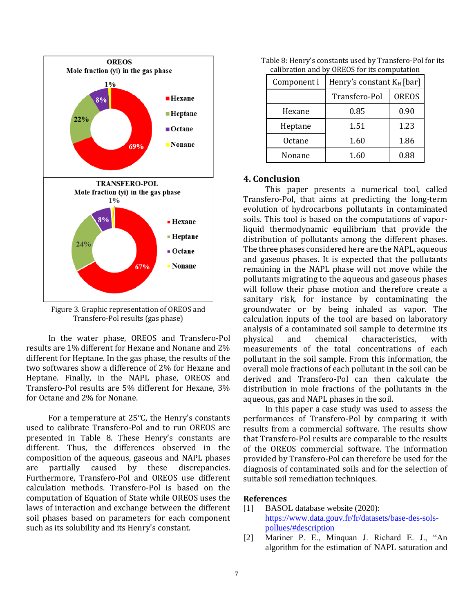

Figure 3. Graphic representation of OREOS and Transfero-Pol results (gas phase)

In the water phase, OREOS and Transfero-Pol results are 1% different for Hexane and Nonane and 2% different for Heptane. In the gas phase, the results of the two softwares show a difference of 2% for Hexane and Heptane. Finally, in the NAPL phase, OREOS and Transfero-Pol results are 5% different for Hexane, 3% for Octane and 2% for Nonane.

For a temperature at 25°C, the Henry's constants used to calibrate Transfero-Pol and to run OREOS are presented in Table 8. These Henry's constants are different. Thus, the differences observed in the composition of the aqueous, gaseous and NAPL phases are partially caused by these discrepancies. Furthermore, Transfero-Pol and OREOS use different calculation methods. Transfero-Pol is based on the computation of Equation of State while OREOS uses the laws of interaction and exchange between the different soil phases based on parameters for each component such as its solubility and its Henry's constant.

| candiación ana by ordios for no compatation |                              |              |
|---------------------------------------------|------------------------------|--------------|
| Component i                                 | Henry's constant $K_H$ [bar] |              |
|                                             | Transfero-Pol                | <b>OREOS</b> |
| Hexane                                      | 0.85                         | 0.90         |
| Heptane                                     | 1.51                         | 1.23         |
| Octane                                      | 1.60                         | 1.86         |
| Nonane                                      | 1.60                         | 0.88         |

Table 8: Henry's constants used by Transfero-Pol for its calibration and by OREOS for its computation

# **4. Conclusion**

This paper presents a numerical tool, called Transfero-Pol, that aims at predicting the long-term evolution of hydrocarbons pollutants in contaminated soils. This tool is based on the computations of vaporliquid thermodynamic equilibrium that provide the distribution of pollutants among the different phases. The three phases considered here are the NAPL, aqueous and gaseous phases. It is expected that the pollutants remaining in the NAPL phase will not move while the pollutants migrating to the aqueous and gaseous phases will follow their phase motion and therefore create a sanitary risk, for instance by contaminating the groundwater or by being inhaled as vapor. The calculation inputs of the tool are based on laboratory analysis of a contaminated soil sample to determine its physical and chemical characteristics, with measurements of the total concentrations of each pollutant in the soil sample. From this information, the overall mole fractions of each pollutant in the soil can be derived and Transfero-Pol can then calculate the distribution in mole fractions of the pollutants in the aqueous, gas and NAPL phases in the soil.

In this paper a case study was used to assess the performances of Transfero-Pol by comparing it with results from a commercial software. The results show that Transfero-Pol results are comparable to the results of the OREOS commercial software. The information provided by Transfero-Pol can therefore be used for the diagnosis of contaminated soils and for the selection of suitable soil remediation techniques.

# **References**

- [1] BASOL database website (2020): [https://www.data.gouv.fr/fr/datasets/base-des-sols](https://www.data.gouv.fr/fr/datasets/base-des-sols-pollues/#description)[pollues/#description](https://www.data.gouv.fr/fr/datasets/base-des-sols-pollues/#description)
- [2] Mariner P. E., Minquan J. Richard E. J., "An algorithm for the estimation of NAPL saturation and